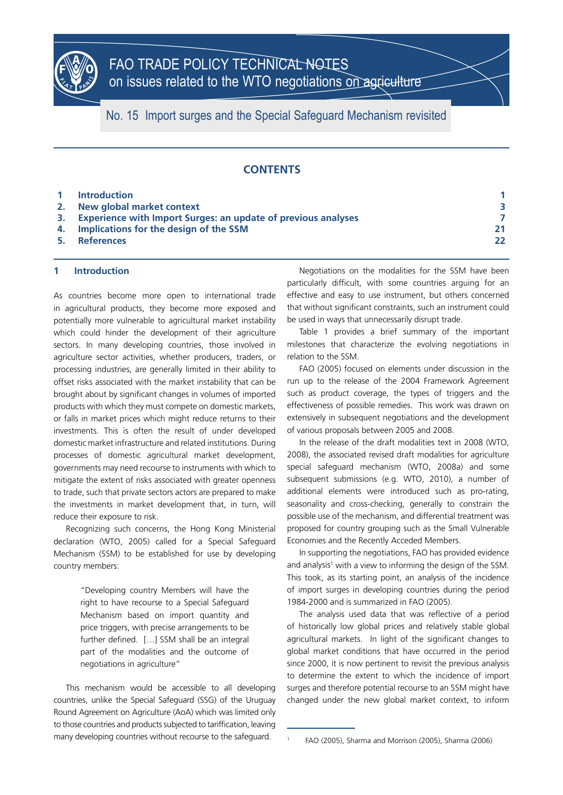

No. 15 Import surges and the Special Safeguard Mechanism revisited

# **CONTENTS**

|    | 1 Introduction                                                   |    |
|----|------------------------------------------------------------------|----|
| 2. | New global market context                                        |    |
|    | 3. Experience with Import Surges: an update of previous analyses |    |
|    | 4. Implications for the design of the SSM                        | 21 |
|    | 5. References                                                    | 22 |

# **1 Introduction**

As countries become more open to international trade in agricultural products, they become more exposed and potentially more vulnerable to agricultural market instability which could hinder the development of their agriculture sectors. In many developing countries, those involved in agriculture sector activities, whether producers, traders, or processing industries, are generally limited in their ability to offset risks associated with the market instability that can be brought about by significant changes in volumes of imported products with which they must compete on domestic markets, or falls in market prices which might reduce returns to their investments. This is often the result of under developed domestic market infrastructure and related institutions. During processes of domestic agricultural market development, governments may need recourse to instruments with which to mitigate the extent of risks associated with greater openness to trade, such that private sectors actors are prepared to make the investments in market development that, in turn, will reduce their exposure to risk.

Recognizing such concerns, the Hong Kong Ministerial declaration (WTO, 2005) called for a Special Safeguard Mechanism (SSM) to be established for use by developing country members:

> "Developing country Members will have the right to have recourse to a Special Safeguard Mechanism based on import quantity and price triggers, with precise arrangements to be further defined. […] SSM shall be an integral part of the modalities and the outcome of negotiations in agriculture"

This mechanism would be accessible to all developing countries, unlike the Special Safeguard (SSG) of the Uruguay Round Agreement on Agriculture (AoA) which was limited only to those countries and products subjected to tariffication, leaving many developing countries without recourse to the safeguard.

Negotiations on the modalities for the SSM have been particularly difficult, with some countries arguing for an effective and easy to use instrument, but others concerned that without significant constraints, such an instrument could be used in ways that unnecessarily disrupt trade.

Table 1 provides a brief summary of the important milestones that characterize the evolving negotiations in relation to the SSM.

FAO (2005) focused on elements under discussion in the run up to the release of the 2004 Framework Agreement such as product coverage, the types of triggers and the effectiveness of possible remedies. This work was drawn on extensively in subsequent negotiations and the development of various proposals between 2005 and 2008.

In the release of the draft modalities text in 2008 (WTO, 2008), the associated revised draft modalities for agriculture special safeguard mechanism (WTO, 2008a) and some subsequent submissions (e.g. WTO, 2010), a number of additional elements were introduced such as pro-rating, seasonality and cross-checking, generally to constrain the possible use of the mechanism, and differential treatment was proposed for country grouping such as the Small Vulnerable Economies and the Recently Acceded Members.

In supporting the negotiations, FAO has provided evidence and analysis<sup>1</sup> with a view to informing the design of the SSM. This took, as its starting point, an analysis of the incidence of import surges in developing countries during the period 1984-2000 and is summarized in FAO (2005).

The analysis used data that was reflective of a period of historically low global prices and relatively stable global agricultural markets. In light of the significant changes to global market conditions that have occurred in the period since 2000, it is now pertinent to revisit the previous analysis to determine the extent to which the incidence of import surges and therefore potential recourse to an SSM might have changed under the new global market context, to inform

<sup>1</sup> FAO (2005), Sharma and Morrison (2005), Sharma (2006)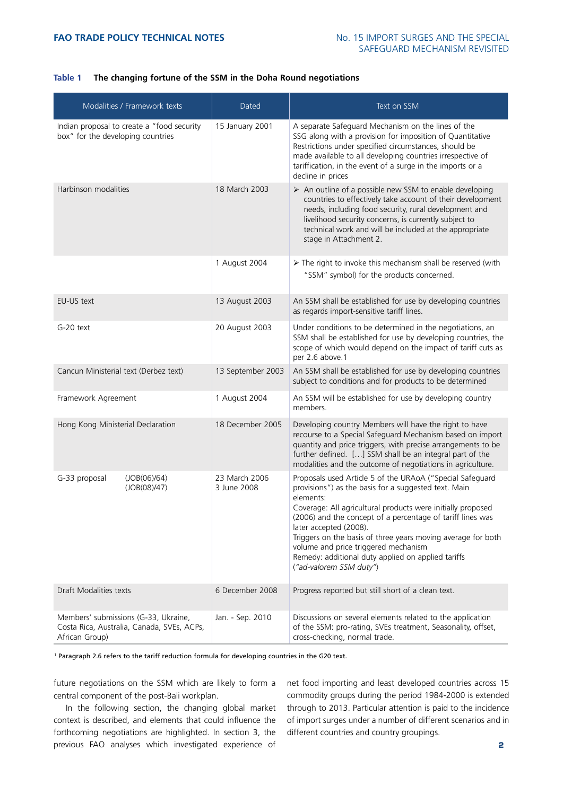# **Table 1 The changing fortune of the SSM in the Doha Round negotiations**

| Modalities / Framework texts                                                                         | Dated                        | Text on SSM                                                                                                                                                                                                                                                                                                                                                                                                                                                                    |
|------------------------------------------------------------------------------------------------------|------------------------------|--------------------------------------------------------------------------------------------------------------------------------------------------------------------------------------------------------------------------------------------------------------------------------------------------------------------------------------------------------------------------------------------------------------------------------------------------------------------------------|
| Indian proposal to create a "food security<br>box" for the developing countries                      | 15 January 2001              | A separate Safeguard Mechanism on the lines of the<br>SSG along with a provision for imposition of Quantitative<br>Restrictions under specified circumstances, should be<br>made available to all developing countries irrespective of<br>tariffication, in the event of a surge in the imports or a<br>decline in prices                                                                                                                                                      |
| Harbinson modalities                                                                                 | 18 March 2003                | > An outline of a possible new SSM to enable developing<br>countries to effectively take account of their development<br>needs, including food security, rural development and<br>livelihood security concerns, is currently subject to<br>technical work and will be included at the appropriate<br>stage in Attachment 2.                                                                                                                                                    |
|                                                                                                      | 1 August 2004                | > The right to invoke this mechanism shall be reserved (with<br>"SSM" symbol) for the products concerned.                                                                                                                                                                                                                                                                                                                                                                      |
| EU-US text                                                                                           | 13 August 2003               | An SSM shall be established for use by developing countries<br>as regards import-sensitive tariff lines.                                                                                                                                                                                                                                                                                                                                                                       |
| G-20 text                                                                                            | 20 August 2003               | Under conditions to be determined in the negotiations, an<br>SSM shall be established for use by developing countries, the<br>scope of which would depend on the impact of tariff cuts as<br>per 2.6 above.1                                                                                                                                                                                                                                                                   |
| Cancun Ministerial text (Derbez text)                                                                | 13 September 2003            | An SSM shall be established for use by developing countries<br>subject to conditions and for products to be determined                                                                                                                                                                                                                                                                                                                                                         |
| Framework Agreement                                                                                  | 1 August 2004                | An SSM will be established for use by developing country<br>members.                                                                                                                                                                                                                                                                                                                                                                                                           |
| Hong Kong Ministerial Declaration                                                                    | 18 December 2005             | Developing country Members will have the right to have<br>recourse to a Special Safeguard Mechanism based on import<br>quantity and price triggers, with precise arrangements to be<br>further defined. [] SSM shall be an integral part of the<br>modalities and the outcome of negotiations in agriculture.                                                                                                                                                                  |
| (JOB(06)/64)<br>G-33 proposal<br>(JOB(08)/47)                                                        | 23 March 2006<br>3 June 2008 | Proposals used Article 5 of the URAoA ("Special Safeguard<br>provisions") as the basis for a suggested text. Main<br>elements:<br>Coverage: All agricultural products were initially proposed<br>(2006) and the concept of a percentage of tariff lines was<br>later accepted (2008).<br>Triggers on the basis of three years moving average for both<br>volume and price triggered mechanism<br>Remedy: additional duty applied on applied tariffs<br>("ad-valorem SSM duty") |
| Draft Modalities texts                                                                               | 6 December 2008              | Progress reported but still short of a clean text.                                                                                                                                                                                                                                                                                                                                                                                                                             |
| Members' submissions (G-33, Ukraine,<br>Costa Rica, Australia, Canada, SVEs, ACPs,<br>African Group) | Jan. - Sep. 2010             | Discussions on several elements related to the application<br>of the SSM: pro-rating, SVEs treatment, Seasonality, offset,<br>cross-checking, normal trade.                                                                                                                                                                                                                                                                                                                    |

1 Paragraph 2.6 refers to the tariff reduction formula for developing countries in the G20 text.

future negotiations on the SSM which are likely to form a central component of the post-Bali workplan.

In the following section, the changing global market context is described, and elements that could influence the forthcoming negotiations are highlighted. In section 3, the previous FAO analyses which investigated experience of

net food importing and least developed countries across 15 commodity groups during the period 1984-2000 is extended through to 2013. Particular attention is paid to the incidence of import surges under a number of different scenarios and in different countries and country groupings.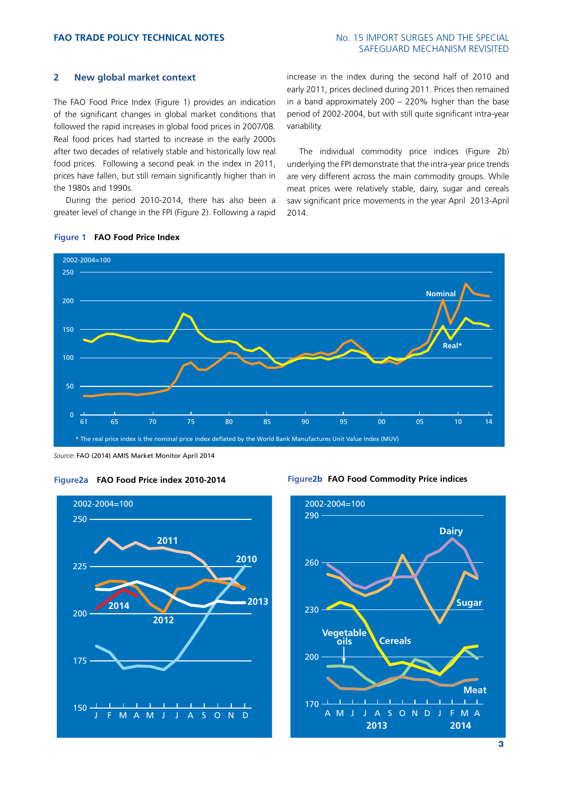# SAFEGUARD MECHANISM REVISITED

# **2 New global market context**

The FAO Food Price Index (Figure 1) provides an indication of the significant changes in global market conditions that followed the rapid increases in global food prices in 2007/08. Real food prices had started to increase in the early 2000s after two decades of relatively stable and historically low real food prices. Following a second peak in the index in 2011, prices have fallen, but still remain significantly higher than in the 1980s and 1990s.

During the period 2010-2014, there has also been a greater level of change in the FPI (Figure 2). Following a rapid

increase in the index during the second half of 2010 and early 2011, prices declined during 2011. Prices then remained in a band approximately 200 – 220% higher than the base period of 2002-2004, but with still quite significant intra-year variability.

The individual commodity price indices (Figure 2b) underlying the FPI demonstrate that the intra-year price trends are very different across the main commodity groups. While meat prices were relatively stable, dairy, sugar and cereals saw significant price movements in the year April 2013-April 2014.



# **Figure 1 FAO Food Price Index**

*Source*: FAO (2014) AMIS Market Monitor April 2014









**3**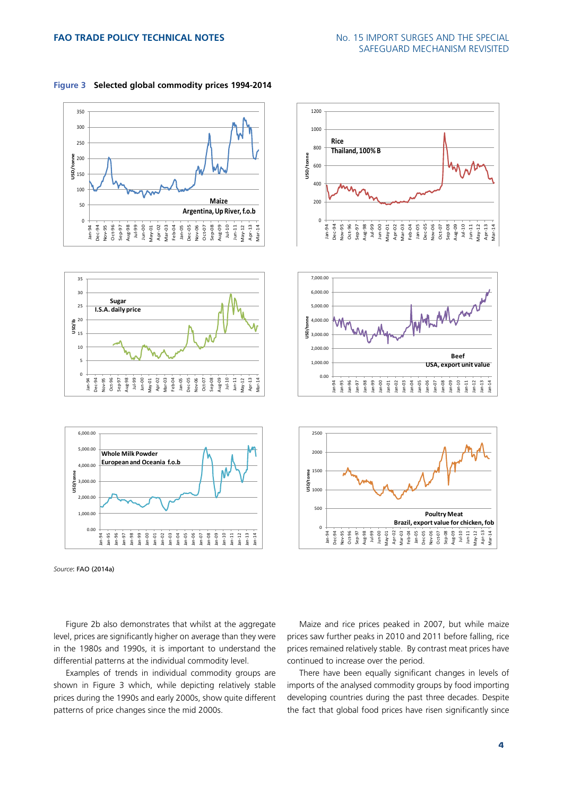









**Rice** 

**Thailand, 100% B**



Figure 2b also demonstrates that whilst at the aggregate level, prices are significantly higher on average than they were in the 1980s and 1990s, it is important to understand the differential patterns at the individual commodity level.

Examples of trends in individual commodity groups are shown in Figure 3 which, while depicting relatively stable prices during the 1990s and early 2000s, show quite different patterns of price changes since the mid 2000s.

Maize and rice prices peaked in 2007, but while maize prices saw further peaks in 2010 and 2011 before falling, rice prices remained relatively stable. By contrast meat prices have continued to increase over the period.

There have been equally significant changes in levels of imports of the analysed commodity groups by food importing developing countries during the past three decades. Despite the fact that global food prices have risen significantly since

*Source*: FAO (2014a)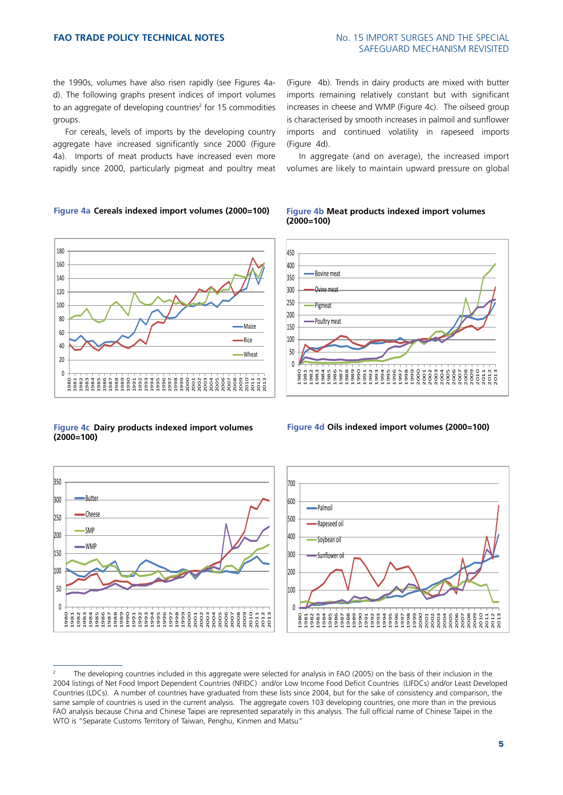the 1990s, volumes have also risen rapidly (see Figures 4ad). The following graphs present indices of import volumes to an aggregate of developing countries<sup>2</sup> for 15 commodities groups.

For cereals, levels of imports by the developing country aggregate have increased significantly since 2000 (Figure 4a). Imports of meat products have increased even more rapidly since 2000, particularly pigmeat and poultry meat

# **Figure 4a Cereals indexed import volumes (2000=100)**



**Figure 4c Dairy products indexed import volumes (2000=100)**



(Figure 4b). Trends in dairy products are mixed with butter imports remaining relatively constant but with significant increases in cheese and WMP (Figure 4c). The oilseed group is characterised by smooth increases in palmoil and sunflower imports and continued volatility in rapeseed imports (Figure 4d).

In aggregate (and on average), the increased import volumes are likely to maintain upward pressure on global

#### **Figure 4b Meat products indexed import volumes (2000=100)**



**Figure 4d Oils indexed import volumes (2000=100)**



<sup>2</sup> The developing countries included in this aggregate were selected for analysis in FAO (2005) on the basis of their inclusion in the 2004 listings of Net Food Import Dependent Countries (NFIDC) and/or Low Income Food Deficit Countries (LIFDCs) and/or Least Developed Countries (LDCs). A number of countries have graduated from these lists since 2004, but for the sake of consistency and comparison, the same sample of countries is used in the current analysis. The aggregate covers 103 developing countries, one more than in the previous FAO analysis because China and Chinese Taipei are represented separately in this analysis. The full official name of Chinese Taipei in the WTO is "Separate Customs Territory of Taiwan, Penghu, Kinmen and Matsu"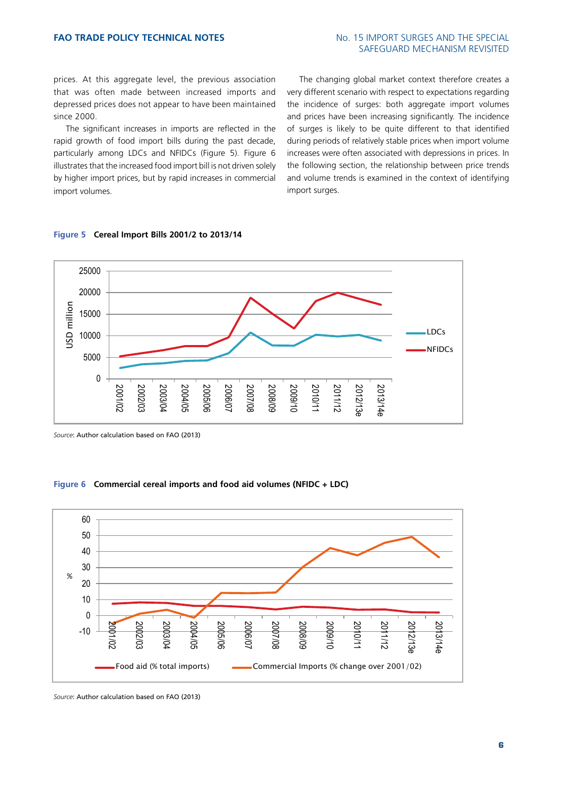prices. At this aggregate level, the previous association that was often made between increased imports and depressed prices does not appear to have been maintained since 2000.

The significant increases in imports are reflected in the rapid growth of food import bills during the past decade, particularly among LDCs and NFIDCs (Figure 5). Figure 6 illustrates that the increased food import bill is not driven solely by higher import prices, but by rapid increases in commercial import volumes.

The changing global market context therefore creates a very different scenario with respect to expectations regarding the incidence of surges: both aggregate import volumes and prices have been increasing significantly. The incidence of surges is likely to be quite different to that identified during periods of relatively stable prices when import volume increases were often associated with depressions in prices. In the following section, the relationship between price trends and volume trends is examined in the context of identifying import surges.





*Source*: Author calculation based on FAO (2013)

#### **Figure 6 Commercial cereal imports and food aid volumes (NFIDC + LDC)**



*Source*: Author calculation based on FAO (2013)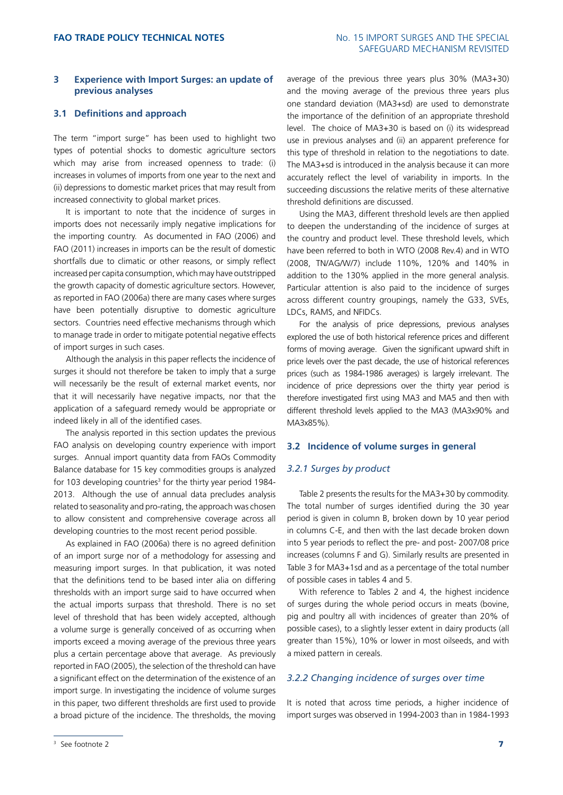# **FAO TRADE POLICY TECHNICAL NOTES** NO. 15 IMPORT SURGES AND THE SPECIAL SAFEGUARD MECHANISM REVISITED

# **3 Experience with Import Surges: an update of previous analyses**

### **3.1 Definitions and approach**

The term "import surge" has been used to highlight two types of potential shocks to domestic agriculture sectors which may arise from increased openness to trade: (i) increases in volumes of imports from one year to the next and (ii) depressions to domestic market prices that may result from increased connectivity to global market prices.

It is important to note that the incidence of surges in imports does not necessarily imply negative implications for the importing country. As documented in FAO (2006) and FAO (2011) increases in imports can be the result of domestic shortfalls due to climatic or other reasons, or simply reflect increased per capita consumption, which may have outstripped the growth capacity of domestic agriculture sectors. However, as reported in FAO (2006a) there are many cases where surges have been potentially disruptive to domestic agriculture sectors. Countries need effective mechanisms through which to manage trade in order to mitigate potential negative effects of import surges in such cases.

Although the analysis in this paper reflects the incidence of surges it should not therefore be taken to imply that a surge will necessarily be the result of external market events, nor that it will necessarily have negative impacts, nor that the application of a safeguard remedy would be appropriate or indeed likely in all of the identified cases.

The analysis reported in this section updates the previous FAO analysis on developing country experience with import surges. Annual import quantity data from FAOs Commodity Balance database for 15 key commodities groups is analyzed for 103 developing countries<sup>3</sup> for the thirty year period 1984-2013. Although the use of annual data precludes analysis related to seasonality and pro-rating, the approach was chosen to allow consistent and comprehensive coverage across all developing countries to the most recent period possible.

As explained in FAO (2006a) there is no agreed definition of an import surge nor of a methodology for assessing and measuring import surges. In that publication, it was noted that the definitions tend to be based inter alia on differing thresholds with an import surge said to have occurred when the actual imports surpass that threshold. There is no set level of threshold that has been widely accepted, although a volume surge is generally conceived of as occurring when imports exceed a moving average of the previous three years plus a certain percentage above that average. As previously reported in FAO (2005), the selection of the threshold can have a significant effect on the determination of the existence of an import surge. In investigating the incidence of volume surges in this paper, two different thresholds are first used to provide a broad picture of the incidence. The thresholds, the moving average of the previous three years plus 30% (MA3+30) and the moving average of the previous three years plus one standard deviation (MA3+sd) are used to demonstrate the importance of the definition of an appropriate threshold level. The choice of MA3+30 is based on (i) its widespread use in previous analyses and (ii) an apparent preference for this type of threshold in relation to the negotiations to date. The MA3+sd is introduced in the analysis because it can more accurately reflect the level of variability in imports. In the succeeding discussions the relative merits of these alternative threshold definitions are discussed.

Using the MA3, different threshold levels are then applied to deepen the understanding of the incidence of surges at the country and product level. These threshold levels, which have been referred to both in WTO (2008 Rev.4) and in WTO (2008, TN/AG/W/7) include 110%, 120% and 140% in addition to the 130% applied in the more general analysis. Particular attention is also paid to the incidence of surges across different country groupings, namely the G33, SVEs, LDCs, RAMS, and NFIDCs.

For the analysis of price depressions, previous analyses explored the use of both historical reference prices and different forms of moving average. Given the significant upward shift in price levels over the past decade, the use of historical references prices (such as 1984-1986 averages) is largely irrelevant. The incidence of price depressions over the thirty year period is therefore investigated first using MA3 and MA5 and then with different threshold levels applied to the MA3 (MA3x90% and MA3x85%).

#### **3.2 Incidence of volume surges in general**

# *3.2.1 Surges by product*

Table 2 presents the results for the MA3+30 by commodity. The total number of surges identified during the 30 year period is given in column B, broken down by 10 year period in columns C-E, and then with the last decade broken down into 5 year periods to reflect the pre- and post- 2007/08 price increases (columns F and G). Similarly results are presented in Table 3 for MA3+1sd and as a percentage of the total number of possible cases in tables 4 and 5.

With reference to Tables 2 and 4, the highest incidence of surges during the whole period occurs in meats (bovine, pig and poultry all with incidences of greater than 20% of possible cases), to a slightly lesser extent in dairy products (all greater than 15%), 10% or lower in most oilseeds, and with a mixed pattern in cereals.

#### *3.2.2 Changing incidence of surges over time*

It is noted that across time periods, a higher incidence of import surges was observed in 1994-2003 than in 1984-1993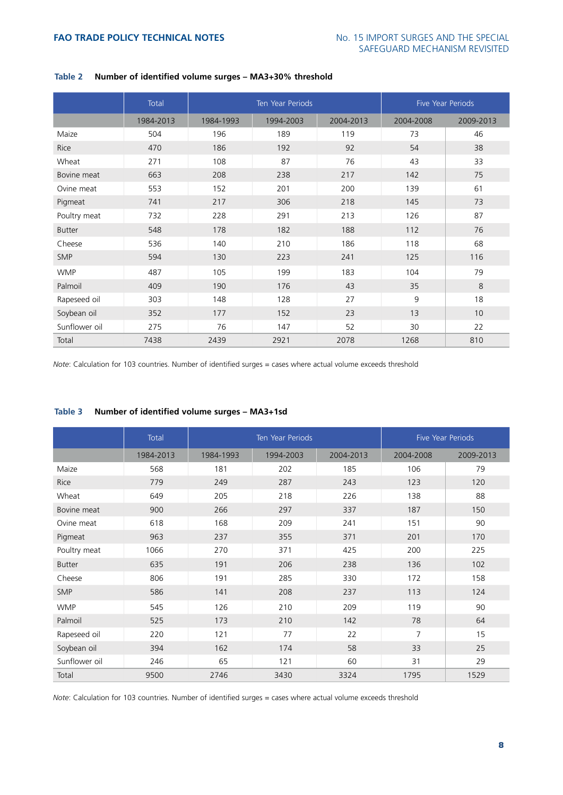|               | Total     |           | <b>Ten Year Periods</b> | <b>Five Year Periods</b> |           |           |
|---------------|-----------|-----------|-------------------------|--------------------------|-----------|-----------|
|               | 1984-2013 | 1984-1993 | 1994-2003               | 2004-2013                | 2004-2008 | 2009-2013 |
| Maize         | 504       | 196       | 189                     | 119                      | 73        | 46        |
| Rice          | 470       | 186       | 192                     | 92                       | 54        | 38        |
| Wheat         | 271       | 108       | 87                      | 76                       | 43        | 33        |
| Bovine meat   | 663       | 208       | 238                     | 217                      | 142       | 75        |
| Ovine meat    | 553       | 152       | 201                     | 200                      | 139       | 61        |
| Pigmeat       | 741       | 217       | 306                     | 218                      | 145       | 73        |
| Poultry meat  | 732       | 228       | 291                     | 213                      | 126       | 87        |
| <b>Butter</b> | 548       | 178       | 182                     | 188                      | 112       | 76        |
| Cheese        | 536       | 140       | 210                     | 186                      | 118       | 68        |
| <b>SMP</b>    | 594       | 130       | 223                     | 241                      | 125       | 116       |
| <b>WMP</b>    | 487       | 105       | 199                     | 183                      | 104       | 79        |
| Palmoil       | 409       | 190       | 176                     | 43                       | 35        | 8         |
| Rapeseed oil  | 303       | 148       | 128                     | 27                       | 9         | 18        |
| Soybean oil   | 352       | 177       | 152                     | 23                       | 13        | 10        |
| Sunflower oil | 275       | 76        | 147                     | 52                       | 30        | 22        |
| Total         | 7438      | 2439      | 2921                    | 2078                     | 1268      | 810       |

# **Table 2 Number of identified volume surges – MA3+30% threshold**

*Note*: Calculation for 103 countries. Number of identified surges = cases where actual volume exceeds threshold

# **Table 3 Number of identified volume surges – MA3+1sd**

|               | Total     |           | Ten Year Periods | <b>Five Year Periods</b> |           |           |
|---------------|-----------|-----------|------------------|--------------------------|-----------|-----------|
|               | 1984-2013 | 1984-1993 | 1994-2003        | 2004-2013                | 2004-2008 | 2009-2013 |
| Maize         | 568       | 181       | 202              | 185                      | 106       | 79        |
| Rice          | 779       | 249       | 287              | 243                      | 123       | 120       |
| Wheat         | 649       | 205       | 218              | 226                      | 138       | 88        |
| Bovine meat   | 900       | 266       | 297              | 337                      | 187       | 150       |
| Ovine meat    | 618       | 168       | 209              | 241                      | 151       | 90        |
| Pigmeat       | 963       | 237       | 355              | 371                      | 201       | 170       |
| Poultry meat  | 1066      | 270       | 371              | 425                      | 200       | 225       |
| <b>Butter</b> | 635       | 191       | 206              | 238                      | 136       | 102       |
| Cheese        | 806       | 191       | 285              | 330                      | 172       | 158       |
| <b>SMP</b>    | 586       | 141       | 208              | 237                      | 113       | 124       |
| <b>WMP</b>    | 545       | 126       | 210              | 209                      | 119       | 90        |
| Palmoil       | 525       | 173       | 210              | 142                      | 78        | 64        |
| Rapeseed oil  | 220       | 121       | 77               | 22                       | 7         | 15        |
| Soybean oil   | 394       | 162       | 174              | 58                       | 33        | 25        |
| Sunflower oil | 246       | 65        | 121              | 60                       | 31        | 29        |
| Total         | 9500      | 2746      | 3430             | 3324                     | 1795      | 1529      |

*Note*: Calculation for 103 countries. Number of identified surges = cases where actual volume exceeds threshold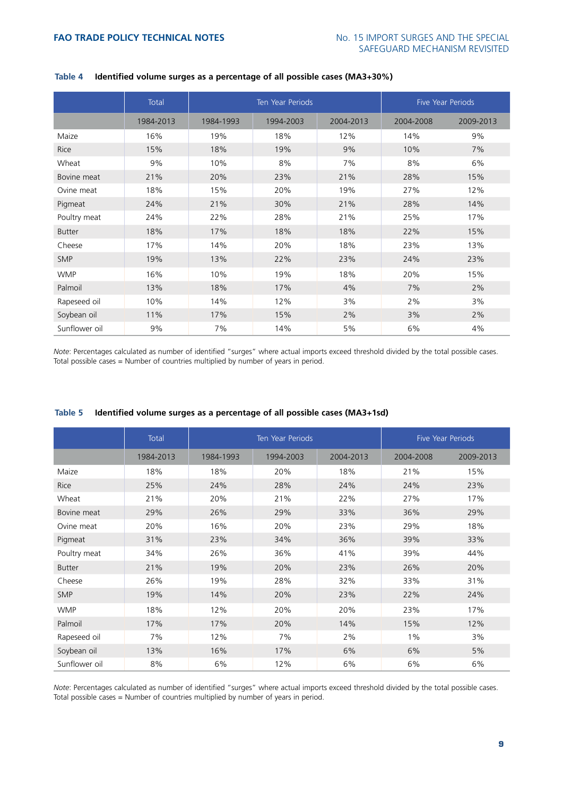|               | Total     |           | <b>Ten Year Periods</b> | <b>Five Year Periods</b> |           |           |
|---------------|-----------|-----------|-------------------------|--------------------------|-----------|-----------|
|               | 1984-2013 | 1984-1993 | 1994-2003               | 2004-2013                | 2004-2008 | 2009-2013 |
| Maize         | 16%       | 19%       | 18%                     | 12%                      | 14%       | 9%        |
| Rice          | 15%       | 18%       | 19%                     | 9%                       | 10%       | 7%        |
| Wheat         | 9%        | 10%       | 8%                      | 7%                       | 8%        | 6%        |
| Bovine meat   | 21%       | 20%       | 23%                     | 21%                      | 28%       | 15%       |
| Ovine meat    | 18%       | 15%       | 20%                     | 19%                      | 27%       | 12%       |
| Pigmeat       | 24%       | 21%       | 30%                     | 21%                      | 28%       | 14%       |
| Poultry meat  | 24%       | 22%       | 28%                     | 21%                      | 25%       | 17%       |
| <b>Butter</b> | 18%       | 17%       | 18%                     | 18%                      | 22%       | 15%       |
| Cheese        | 17%       | 14%       | 20%                     | 18%                      | 23%       | 13%       |
| <b>SMP</b>    | 19%       | 13%       | 22%                     | 23%                      | 24%       | 23%       |
| <b>WMP</b>    | 16%       | 10%       | 19%                     | 18%                      | 20%       | 15%       |
| Palmoil       | 13%       | 18%       | 17%                     | 4%                       | 7%        | 2%        |
| Rapeseed oil  | 10%       | 14%       | 12%                     | 3%                       | 2%        | 3%        |
| Soybean oil   | 11%       | 17%       | 15%                     | 2%                       | 3%        | 2%        |
| Sunflower oil | 9%        | 7%        | 14%                     | 5%                       | 6%        | 4%        |

# **Table 4 Identified volume surges as a percentage of all possible cases (MA3+30%)**

*Note*: Percentages calculated as number of identified "surges" where actual imports exceed threshold divided by the total possible cases. Total possible cases = Number of countries multiplied by number of years in period.

|               | Total     | Ten Year Periods |           |           | <b>Five Year Periods</b> |           |
|---------------|-----------|------------------|-----------|-----------|--------------------------|-----------|
|               | 1984-2013 | 1984-1993        | 1994-2003 | 2004-2013 | 2004-2008                | 2009-2013 |
| Maize         | 18%       | 18%              | 20%       | 18%       | 21%                      | 15%       |
| Rice          | 25%       | 24%              | 28%       | 24%       | 24%                      | 23%       |
| Wheat         | 21%       | 20%              | 21%       | 22%       | 27%                      | 17%       |
| Bovine meat   | 29%       | 26%              | 29%       | 33%       | 36%                      | 29%       |
| Ovine meat    | 20%       | 16%              | 20%       | 23%       | 29%                      | 18%       |
| Pigmeat       | 31%       | 23%              | 34%       | 36%       | 39%                      | 33%       |
| Poultry meat  | 34%       | 26%              | 36%       | 41%       | 39%                      | 44%       |
| <b>Butter</b> | 21%       | 19%              | 20%       | 23%       | 26%                      | 20%       |
| Cheese        | 26%       | 19%              | 28%       | 32%       | 33%                      | 31%       |
| <b>SMP</b>    | 19%       | 14%              | 20%       | 23%       | 22%                      | 24%       |
| <b>WMP</b>    | 18%       | 12%              | 20%       | 20%       | 23%                      | 17%       |
| Palmoil       | 17%       | 17%              | 20%       | 14%       | 15%                      | 12%       |
| Rapeseed oil  | 7%        | 12%              | 7%        | 2%        | $1\%$                    | 3%        |
| Soybean oil   | 13%       | 16%              | 17%       | 6%        | 6%                       | 5%        |
| Sunflower oil | 8%        | 6%               | 12%       | 6%        | 6%                       | 6%        |

# **Table 5 Identified volume surges as a percentage of all possible cases (MA3+1sd)**

*Note*: Percentages calculated as number of identified "surges" where actual imports exceed threshold divided by the total possible cases. Total possible cases = Number of countries multiplied by number of years in period.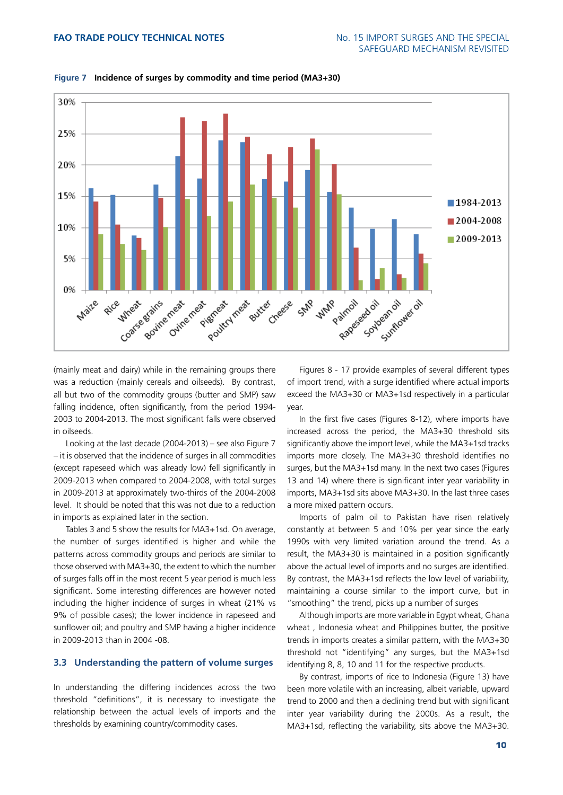

**Figure 7 Incidence of surges by commodity and time period (MA3+30)**

(mainly meat and dairy) while in the remaining groups there was a reduction (mainly cereals and oilseeds). By contrast, all but two of the commodity groups (butter and SMP) saw falling incidence, often significantly, from the period 1994- 2003 to 2004-2013. The most significant falls were observed in oilseeds.

Looking at the last decade (2004-2013) – see also Figure 7 – it is observed that the incidence of surges in all commodities (except rapeseed which was already low) fell significantly in 2009-2013 when compared to 2004-2008, with total surges in 2009-2013 at approximately two-thirds of the 2004-2008 level. It should be noted that this was not due to a reduction in imports as explained later in the section.

Tables 3 and 5 show the results for MA3+1sd. On average, the number of surges identified is higher and while the patterns across commodity groups and periods are similar to those observed with MA3+30, the extent to which the number of surges falls off in the most recent 5 year period is much less significant. Some interesting differences are however noted including the higher incidence of surges in wheat (21% vs 9% of possible cases); the lower incidence in rapeseed and sunflower oil; and poultry and SMP having a higher incidence in 2009-2013 than in 2004 -08.

# **3.3 Understanding the pattern of volume surges**

In understanding the differing incidences across the two threshold "definitions", it is necessary to investigate the relationship between the actual levels of imports and the thresholds by examining country/commodity cases.

Figures 8 - 17 provide examples of several different types of import trend, with a surge identified where actual imports exceed the MA3+30 or MA3+1sd respectively in a particular year.

In the first five cases (Figures 8-12), where imports have increased across the period, the MA3+30 threshold sits significantly above the import level, while the MA3+1sd tracks imports more closely. The MA3+30 threshold identifies no surges, but the MA3+1sd many. In the next two cases (Figures 13 and 14) where there is significant inter year variability in imports, MA3+1sd sits above MA3+30. In the last three cases a more mixed pattern occurs.

Imports of palm oil to Pakistan have risen relatively constantly at between 5 and 10% per year since the early 1990s with very limited variation around the trend. As a result, the MA3+30 is maintained in a position significantly above the actual level of imports and no surges are identified. By contrast, the MA3+1sd reflects the low level of variability, maintaining a course similar to the import curve, but in "smoothing" the trend, picks up a number of surges

Although imports are more variable in Egypt wheat, Ghana wheat , Indonesia wheat and Philippines butter, the positive trends in imports creates a similar pattern, with the MA3+30 threshold not "identifying" any surges, but the MA3+1sd identifying 8, 8, 10 and 11 for the respective products.

By contrast, imports of rice to Indonesia (Figure 13) have been more volatile with an increasing, albeit variable, upward trend to 2000 and then a declining trend but with significant inter year variability during the 2000s. As a result, the MA3+1sd, reflecting the variability, sits above the MA3+30.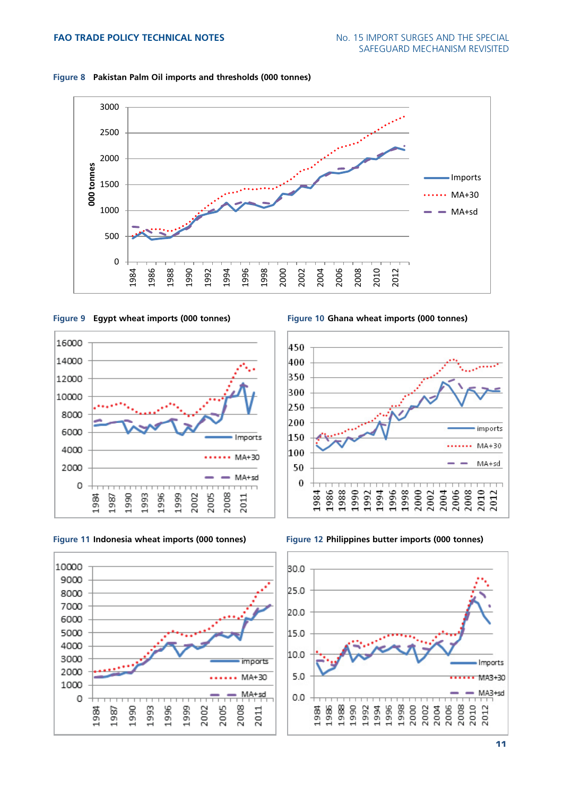



**Figure 9 Egypt wheat imports (000 tonnes) Figure 10 Ghana wheat imports (000 tonnes)**



**Figure 11 Indonesia wheat imports (000 tonnes) Figure 12 Philippines butter imports (000 tonnes)**





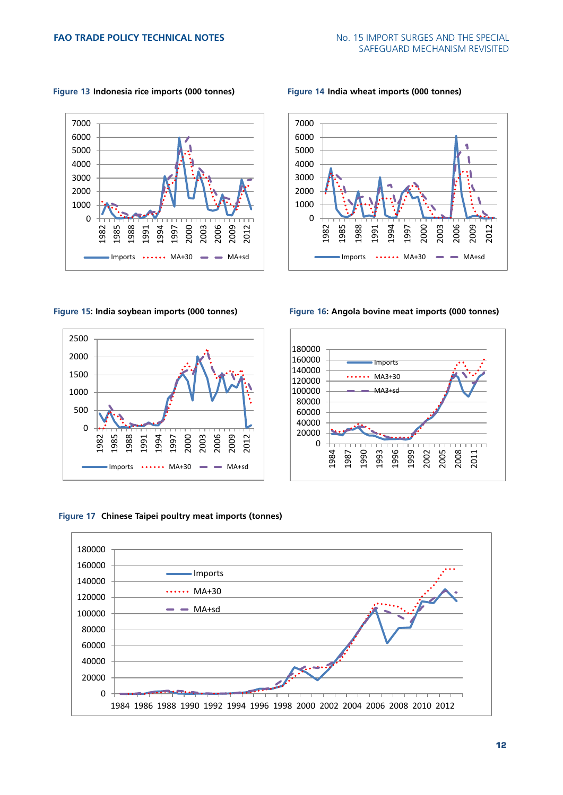**Figure 13 Indonesia rice imports (000 tonnes) Figure 14 India wheat imports (000 tonnes)**











**Figure 17 Chinese Taipei poultry meat imports (tonnes)**

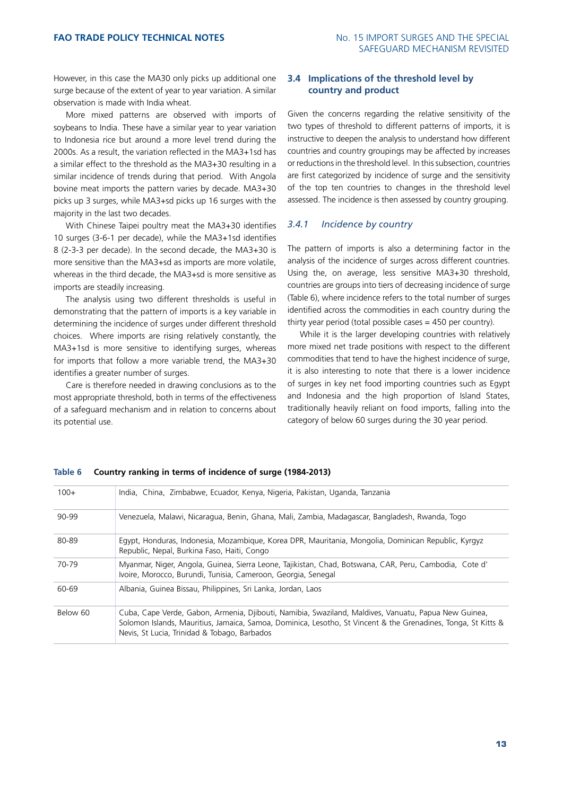However, in this case the MA30 only picks up additional one surge because of the extent of year to year variation. A similar observation is made with India wheat.

More mixed patterns are observed with imports of soybeans to India. These have a similar year to year variation to Indonesia rice but around a more level trend during the 2000s. As a result, the variation reflected in the MA3+1sd has a similar effect to the threshold as the MA3+30 resulting in a similar incidence of trends during that period. With Angola bovine meat imports the pattern varies by decade. MA3+30 picks up 3 surges, while MA3+sd picks up 16 surges with the majority in the last two decades.

With Chinese Taipei poultry meat the MA3+30 identifies 10 surges (3-6-1 per decade), while the MA3+1sd identifies 8 (2-3-3 per decade). In the second decade, the MA3+30 is more sensitive than the MA3+sd as imports are more volatile, whereas in the third decade, the MA3+sd is more sensitive as imports are steadily increasing.

The analysis using two different thresholds is useful in demonstrating that the pattern of imports is a key variable in determining the incidence of surges under different threshold choices. Where imports are rising relatively constantly, the MA3+1sd is more sensitive to identifying surges, whereas for imports that follow a more variable trend, the MA3+30 identifies a greater number of surges.

Care is therefore needed in drawing conclusions as to the most appropriate threshold, both in terms of the effectiveness of a safeguard mechanism and in relation to concerns about its potential use.

# **3.4 Implications of the threshold level by country and product**

Given the concerns regarding the relative sensitivity of the two types of threshold to different patterns of imports, it is instructive to deepen the analysis to understand how different countries and country groupings may be affected by increases or reductions in the threshold level. In this subsection, countries are first categorized by incidence of surge and the sensitivity of the top ten countries to changes in the threshold level assessed. The incidence is then assessed by country grouping.

# *3.4.1 Incidence by country*

The pattern of imports is also a determining factor in the analysis of the incidence of surges across different countries. Using the, on average, less sensitive MA3+30 threshold, countries are groups into tiers of decreasing incidence of surge (Table 6), where incidence refers to the total number of surges identified across the commodities in each country during the thirty year period (total possible cases = 450 per country).

While it is the larger developing countries with relatively more mixed net trade positions with respect to the different commodities that tend to have the highest incidence of surge, it is also interesting to note that there is a lower incidence of surges in key net food importing countries such as Egypt and Indonesia and the high proportion of Island States, traditionally heavily reliant on food imports, falling into the category of below 60 surges during the 30 year period.

| $100+$   | India, China, Zimbabwe, Ecuador, Kenya, Nigeria, Pakistan, Uganda, Tanzania                                                                                                                                                                                           |
|----------|-----------------------------------------------------------------------------------------------------------------------------------------------------------------------------------------------------------------------------------------------------------------------|
| 90-99    | Venezuela, Malawi, Nicaragua, Benin, Ghana, Mali, Zambia, Madagascar, Bangladesh, Rwanda, Togo                                                                                                                                                                        |
| 80-89    | Egypt, Honduras, Indonesia, Mozambique, Korea DPR, Mauritania, Mongolia, Dominican Republic, Kyrgyz<br>Republic, Nepal, Burkina Faso, Haiti, Congo                                                                                                                    |
| 70-79    | Myanmar, Niger, Angola, Guinea, Sierra Leone, Tajikistan, Chad, Botswana, CAR, Peru, Cambodia, Cote d'<br>Ivoire, Morocco, Burundi, Tunisia, Cameroon, Georgia, Senegal                                                                                               |
| 60-69    | Albania, Guinea Bissau, Philippines, Sri Lanka, Jordan, Laos                                                                                                                                                                                                          |
| Below 60 | Cuba, Cape Verde, Gabon, Armenia, Djibouti, Namibia, Swaziland, Maldives, Vanuatu, Papua New Guinea,<br>Solomon Islands, Mauritius, Jamaica, Samoa, Dominica, Lesotho, St Vincent & the Grenadines, Tonga, St Kitts &<br>Nevis, St Lucia, Trinidad & Tobago, Barbados |

# **Table 6 Country ranking in terms of incidence of surge (1984-2013)**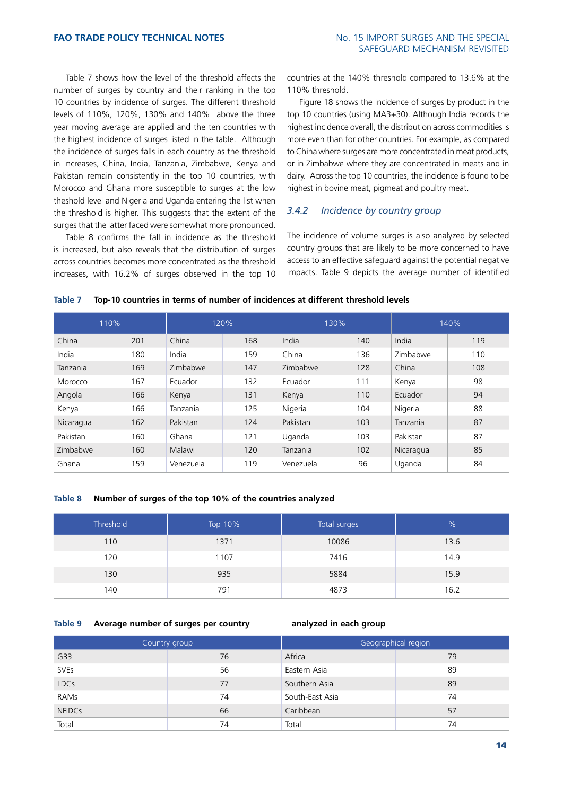Table 7 shows how the level of the threshold affects the number of surges by country and their ranking in the top 10 countries by incidence of surges. The different threshold levels of 110%, 120%, 130% and 140% above the three year moving average are applied and the ten countries with the highest incidence of surges listed in the table. Although the incidence of surges falls in each country as the threshold in increases, China, India, Tanzania, Zimbabwe, Kenya and Pakistan remain consistently in the top 10 countries, with Morocco and Ghana more susceptible to surges at the low theshold level and Nigeria and Uganda entering the list when the threshold is higher. This suggests that the extent of the surges that the latter faced were somewhat more pronounced.

Table 8 confirms the fall in incidence as the threshold is increased, but also reveals that the distribution of surges across countries becomes more concentrated as the threshold increases, with 16.2% of surges observed in the top 10

countries at the 140% threshold compared to 13.6% at the 110% threshold.

Figure 18 shows the incidence of surges by product in the top 10 countries (using MA3+30). Although India records the highest incidence overall, the distribution across commodities is more even than for other countries. For example, as compared to China where surges are more concentrated in meat products, or in Zimbabwe where they are concentrated in meats and in dairy. Across the top 10 countries, the incidence is found to be highest in bovine meat, pigmeat and poultry meat.

# *3.4.2 Incidence by country group*

The incidence of volume surges is also analyzed by selected country groups that are likely to be more concerned to have access to an effective safeguard against the potential negative impacts. Table 9 depicts the average number of identified

| 110%      |     | 120%      |     | 130%      |     | 140%      |     |
|-----------|-----|-----------|-----|-----------|-----|-----------|-----|
| China     | 201 | China     | 168 | India     | 140 | India     | 119 |
| India     | 180 | India     | 159 | China     | 136 | Zimbabwe  | 110 |
| Tanzania  | 169 | Zimbabwe  | 147 | Zimbabwe  | 128 | China     | 108 |
| Morocco   | 167 | Ecuador   | 132 | Ecuador   | 111 | Kenya     | 98  |
| Angola    | 166 | Kenya     | 131 | Kenya     | 110 | Ecuador   | 94  |
| Kenya     | 166 | Tanzania  | 125 | Nigeria   | 104 | Nigeria   | 88  |
| Nicaragua | 162 | Pakistan  | 124 | Pakistan  | 103 | Tanzania  | 87  |
| Pakistan  | 160 | Ghana     | 121 | Uganda    | 103 | Pakistan  | 87  |
| Zimbabwe  | 160 | Malawi    | 120 | Tanzania  | 102 | Nicaragua | 85  |
| Ghana     | 159 | Venezuela | 119 | Venezuela | 96  | Uganda    | 84  |

#### **Table 7 Top-10 countries in terms of number of incidences at different threshold levels**

#### **Table 8 Number of surges of the top 10% of the countries analyzed**

| <b>Threshold</b> | Top 10% | Total surges | $\frac{0}{0}$ |
|------------------|---------|--------------|---------------|
| 110              | 1371    | 10086        | 13.6          |
| 120              | 1107    | 7416         | 14.9          |
| 130              | 935     | 5884         | 15.9          |
| 140              | 791     | 4873         | 16.2          |

#### **Table 9 Average number of surges per country analyzed in each group**

| Country group |    | Geographical region |    |  |
|---------------|----|---------------------|----|--|
| G33           | 76 | Africa              | 79 |  |
| SVEs          | 56 | Eastern Asia        | 89 |  |
| <b>LDCs</b>   | 77 | Southern Asia       | 89 |  |
| RAMs          | 74 | South-East Asia     | 74 |  |
| <b>NFIDCs</b> | 66 | Caribbean           | 57 |  |
| Total         | 74 | Total               | 74 |  |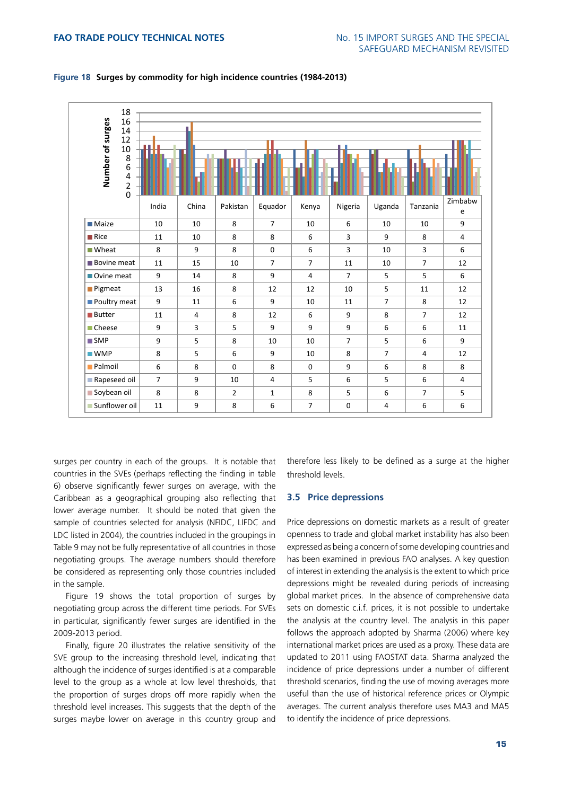| 18<br>Number of surges<br>16<br>14<br>12<br>10<br>8<br>$\boldsymbol{6}$<br>$\frac{4}{2}$<br>$\overline{0}$ |                | ш              |                |                |                |                |                |                |                |
|------------------------------------------------------------------------------------------------------------|----------------|----------------|----------------|----------------|----------------|----------------|----------------|----------------|----------------|
|                                                                                                            | India          | China          | Pakistan       | Equador        | Kenya          | Nigeria        | Uganda         | Tanzania       | Zimbabw<br>e   |
| <b>Maize</b>                                                                                               | 10             | 10             | 8              | $\overline{7}$ | 10             | 6              | 10             | 10             | 9              |
| $\blacksquare$ Rice                                                                                        | 11             | 10             | 8              | 8              | 6              | 3              | 9              | 8              | $\overline{4}$ |
| ■ Wheat                                                                                                    | 8              | 9              | 8              | $\mathbf 0$    | 6              | $\overline{3}$ | 10             | $\overline{3}$ | 6              |
| <b>Bovine meat</b>                                                                                         | 11             | 15             | 10             | $\overline{7}$ | $\overline{7}$ | 11             | 10             | $\overline{7}$ | 12             |
| Ovine meat                                                                                                 | 9              | 14             | 8              | 9              | 4              | $\overline{7}$ | 5              | 5              | 6              |
| Pigmeat                                                                                                    | 13             | 16             | 8              | 12             | 12             | 10             | 5              | 11             | 12             |
| Poultry meat                                                                                               | 9              | 11             | 6              | 9              | 10             | 11             | $\overline{7}$ | 8              | 12             |
| <b>Butter</b>                                                                                              | 11             | 4              | 8              | 12             | 6              | 9              | 8              | $\overline{7}$ | 12             |
| Cheese                                                                                                     | 9              | $\overline{3}$ | 5              | 9              | 9              | 9              | 6              | 6              | 11             |
| $\blacksquare$ SMP                                                                                         | 9              | 5              | 8              | 10             | 10             | $\overline{7}$ | 5              | 6              | 9              |
| $\blacksquare$ WMP                                                                                         | 8              | 5              | 6              | 9              | 10             | 8              | $\overline{7}$ | $\overline{4}$ | 12             |
| <b>Palmoil</b>                                                                                             | 6              | 8              | $\Omega$       | 8              | $\mathbf{0}$   | 9              | 6              | 8              | 8              |
| Rapeseed oil                                                                                               | $\overline{7}$ | 9              | 10             | $\overline{4}$ | 5              | 6              | 5              | 6              | $\overline{4}$ |
| Soybean oil                                                                                                | 8              | 8              | $\overline{2}$ | $\mathbf{1}$   | 8              | 5              | 6              | $\overline{7}$ | 5              |
| Sunflower oil                                                                                              | 11             | 9              | 8              | 6              | $\overline{7}$ | $\mathbf 0$    | 4              | 6              | 6              |

# **Figure 18 Surges by commodity for high incidence countries (1984-2013)**

surges per country in each of the groups. It is notable that countries in the SVEs (perhaps reflecting the finding in table 6) observe significantly fewer surges on average, with the Caribbean as a geographical grouping also reflecting that lower average number. It should be noted that given the sample of countries selected for analysis (NFIDC, LIFDC and LDC listed in 2004), the countries included in the groupings in Table 9 may not be fully representative of all countries in those negotiating groups. The average numbers should therefore be considered as representing only those countries included in the sample.

Figure 19 shows the total proportion of surges by negotiating group across the different time periods. For SVEs in particular, significantly fewer surges are identified in the 2009-2013 period.

Finally, figure 20 illustrates the relative sensitivity of the SVE group to the increasing threshold level, indicating that although the incidence of surges identified is at a comparable level to the group as a whole at low level thresholds, that the proportion of surges drops off more rapidly when the threshold level increases. This suggests that the depth of the surges maybe lower on average in this country group and

therefore less likely to be defined as a surge at the higher threshold levels.

#### **3.5 Price depressions**

Price depressions on domestic markets as a result of greater openness to trade and global market instability has also been expressed as being a concern of some developing countries and has been examined in previous FAO analyses. A key question of interest in extending the analysis is the extent to which price depressions might be revealed during periods of increasing global market prices. In the absence of comprehensive data sets on domestic c.i.f. prices, it is not possible to undertake the analysis at the country level. The analysis in this paper follows the approach adopted by Sharma (2006) where key international market prices are used as a proxy. These data are updated to 2011 using FAOSTAT data. Sharma analyzed the incidence of price depressions under a number of different threshold scenarios, finding the use of moving averages more useful than the use of historical reference prices or Olympic averages. The current analysis therefore uses MA3 and MA5 to identify the incidence of price depressions.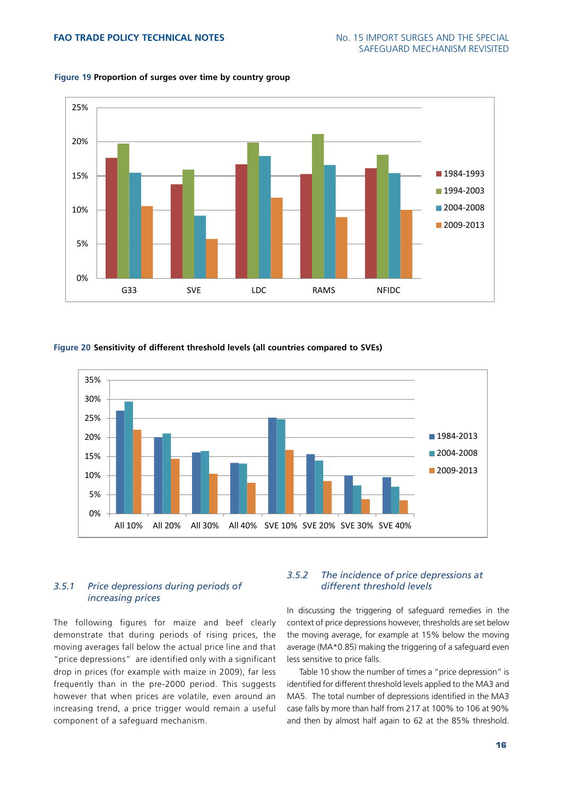

# **Figure 19 Proportion of surges over time by country group**

# **Figure 20 Sensitivity of different threshold levels (all countries compared to SVEs)**



# *3.5.1 Price depressions during periods of increasing prices*

The following figures for maize and beef clearly demonstrate that during periods of rising prices, the moving averages fall below the actual price line and that "price depressions" are identified only with a significant drop in prices (for example with maize in 2009), far less frequently than in the pre-2000 period. This suggests however that when prices are volatile, even around an increasing trend, a price trigger would remain a useful component of a safeguard mechanism.

# *3.5.2 The incidence of price depressions at different threshold levels*

In discussing the triggering of safeguard remedies in the context of price depressions however, thresholds are set below the moving average, for example at 15% below the moving average (MA\*0.85) making the triggering of a safeguard even less sensitive to price falls.

Table 10 show the number of times a "price depression" is identified for different threshold levels applied to the MA3 and MA5. The total number of depressions identified in the MA3 case falls by more than half from 217 at 100% to 106 at 90% and then by almost half again to 62 at the 85% threshold.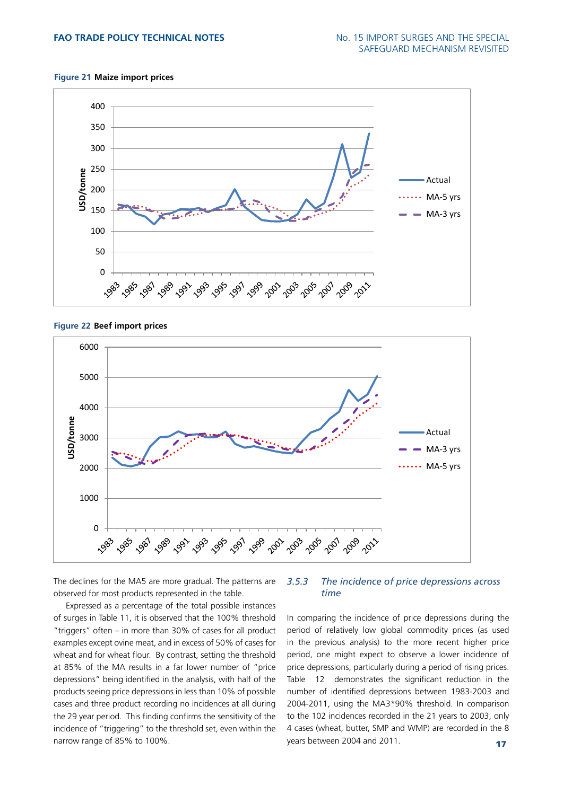#### **Figure 21 Maize import prices**



**Figure 22 Beef import prices**



The declines for the MA5 are more gradual. The patterns are observed for most products represented in the table.

Expressed as a percentage of the total possible instances of surges in Table 11, it is observed that the 100% threshold "triggers" often – in more than 30% of cases for all product examples except ovine meat, and in excess of 50% of cases for wheat and for wheat flour. By contrast, setting the threshold at 85% of the MA results in a far lower number of "price depressions" being identified in the analysis, with half of the products seeing price depressions in less than 10% of possible cases and three product recording no incidences at all during the 29 year period. This finding confirms the sensitivity of the incidence of "triggering" to the threshold set, even within the narrow range of 85% to 100%.

# *3.5.3 The incidence of price depressions across time*

In comparing the incidence of price depressions during the period of relatively low global commodity prices (as used in the previous analysis) to the more recent higher price period, one might expect to observe a lower incidence of price depressions, particularly during a period of rising prices. Table 12 demonstrates the significant reduction in the number of identified depressions between 1983-2003 and 2004-2011, using the MA3\*90% threshold. In comparison to the 102 incidences recorded in the 21 years to 2003, only 4 cases (wheat, butter, SMP and WMP) are recorded in the 8 years between 2004 and 2011.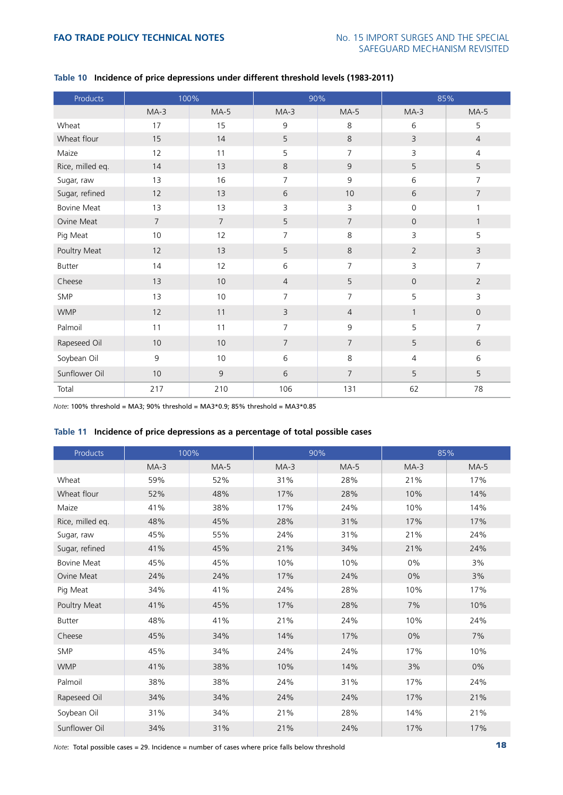| Products           |                | 100%           |                | 90%            | 85%                 |                |
|--------------------|----------------|----------------|----------------|----------------|---------------------|----------------|
|                    | $MA-3$         | $MA-5$         | $MA-3$         | $MA-5$         | $MA-3$              | $MA-5$         |
| Wheat              | 17             | 15             | 9              | 8              | 6                   | 5              |
| Wheat flour        | 15             | 14             | 5              | 8              | $\overline{3}$      | $\overline{4}$ |
| Maize              | 12             | 11             | 5              | $\overline{7}$ | 3                   | $\overline{4}$ |
| Rice, milled eq.   | 14             | 13             | 8              | $\mathsf 9$    | 5                   | 5              |
| Sugar, raw         | 13             | 16             | $\overline{7}$ | $\mathsf 9$    | 6                   | $\overline{7}$ |
| Sugar, refined     | 12             | 13             | 6              | 10             | 6                   | $\overline{7}$ |
| <b>Bovine Meat</b> | 13             | 13             | 3              | 3              | $\mathsf{O}\xspace$ | $\mathbf{1}$   |
| Ovine Meat         | $\overline{7}$ | $\overline{7}$ | 5              | $\overline{7}$ | $\overline{0}$      | $\mathbf{1}$   |
| Pig Meat           | 10             | 12             | $\overline{7}$ | 8              | 3                   | 5              |
| Poultry Meat       | 12             | 13             | 5              | 8              | $\overline{2}$      | $\overline{3}$ |
| <b>Butter</b>      | 14             | 12             | 6              | $\overline{7}$ | 3                   | $\overline{7}$ |
| Cheese             | 13             | 10             | $\overline{4}$ | 5              | $\overline{0}$      | $\overline{2}$ |
| <b>SMP</b>         | 13             | 10             | $\overline{7}$ | $\overline{7}$ | 5                   | 3              |
| <b>WMP</b>         | 12             | 11             | 3              | $\overline{4}$ | $\mathbf{1}$        | $\overline{0}$ |
| Palmoil            | 11             | 11             | $\overline{7}$ | $\mathsf 9$    | 5                   | $\overline{7}$ |
| Rapeseed Oil       | 10             | 10             | $\overline{7}$ | $\overline{7}$ | 5                   | 6              |
| Soybean Oil        | 9              | 10             | 6              | 8              | $\overline{4}$      | 6              |
| Sunflower Oil      | 10             | 9              | 6              | $\overline{7}$ | 5                   | 5              |
| Total              | 217            | 210            | 106            | 131            | 62                  | 78             |

# **Table 10 Incidence of price depressions under different threshold levels (1983-2011)**

*Note*: 100% threshold = MA3; 90% threshold = MA3\*0.9; 85% threshold = MA3\*0.85

#### **Table 11 Incidence of price depressions as a percentage of total possible cases**

| Products           | 100%   |        | 90%    |        | 85%    |        |  |
|--------------------|--------|--------|--------|--------|--------|--------|--|
|                    | $MA-3$ | $MA-5$ | $MA-3$ | $MA-5$ | $MA-3$ | $MA-5$ |  |
| Wheat              | 59%    | 52%    | 31%    | 28%    | 21%    | 17%    |  |
| Wheat flour        | 52%    | 48%    | 17%    | 28%    | 10%    | 14%    |  |
| Maize              | 41%    | 38%    | 17%    | 24%    | 10%    | 14%    |  |
| Rice, milled eq.   | 48%    | 45%    | 28%    | 31%    | 17%    | 17%    |  |
| Sugar, raw         | 45%    | 55%    | 24%    | 31%    | 21%    | 24%    |  |
| Sugar, refined     | 41%    | 45%    | 21%    | 34%    | 21%    | 24%    |  |
| <b>Bovine Meat</b> | 45%    | 45%    | 10%    | 10%    | 0%     | 3%     |  |
| Ovine Meat         | 24%    | 24%    | 17%    | 24%    | 0%     | 3%     |  |
| Pig Meat           | 34%    | 41%    | 24%    | 28%    | 10%    | 17%    |  |
| Poultry Meat       | 41%    | 45%    | 17%    | 28%    | 7%     | 10%    |  |
| Butter             | 48%    | 41%    | 21%    | 24%    | 10%    | 24%    |  |
| Cheese             | 45%    | 34%    | 14%    | 17%    | 0%     | 7%     |  |
| <b>SMP</b>         | 45%    | 34%    | 24%    | 24%    | 17%    | 10%    |  |
| <b>WMP</b>         | 41%    | 38%    | 10%    | 14%    | 3%     | 0%     |  |
| Palmoil            | 38%    | 38%    | 24%    | 31%    | 17%    | 24%    |  |
| Rapeseed Oil       | 34%    | 34%    | 24%    | 24%    | 17%    | 21%    |  |
| Soybean Oil        | 31%    | 34%    | 21%    | 28%    | 14%    | 21%    |  |
| Sunflower Oil      | 34%    | 31%    | 21%    | 24%    | 17%    | 17%    |  |

*Note*: Total possible cases = 29. Incidence = number of cases where price falls below threshold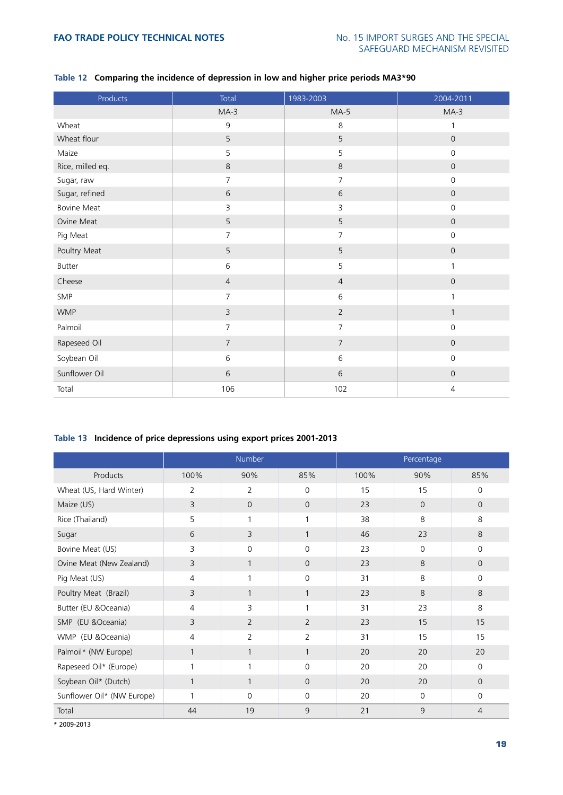| Products           | Total          | 1983-2003      | 2004-2011           |
|--------------------|----------------|----------------|---------------------|
|                    | $MA-3$         | $MA-5$         | $MA-3$              |
| Wheat              | $\mathsf 9$    | 8              | 1                   |
| Wheat flour        | 5              | 5              | $\mathsf{O}\xspace$ |
| Maize              | 5              | 5              | $\mathsf{O}\xspace$ |
| Rice, milled eq.   | $\,8\,$        | $\,8\,$        | $\mathsf{O}\xspace$ |
| Sugar, raw         | $\overline{7}$ | $\overline{7}$ | $\mathsf{O}\xspace$ |
| Sugar, refined     | 6              | 6              | $\mathsf{O}\xspace$ |
| <b>Bovine Meat</b> | 3              | 3              | $\mathsf{O}\xspace$ |
| Ovine Meat         | 5              | 5              | $\mathsf{O}\xspace$ |
| Pig Meat           | $\overline{7}$ | 7              | $\mathsf{O}\xspace$ |
| Poultry Meat       | 5              | 5              | $\mathsf{O}\xspace$ |
| Butter             | 6              | 5              | $\mathbf{1}$        |
| Cheese             | $\overline{4}$ | $\overline{4}$ | $\mathsf{O}\xspace$ |
| SMP                | $\overline{7}$ | $\,$ 6 $\,$    | $\mathbf{1}$        |
| <b>WMP</b>         | $\overline{3}$ | $\overline{2}$ | $\mathbf{1}$        |
| Palmoil            | $\overline{7}$ | $\overline{7}$ | $\mathsf{O}$        |
| Rapeseed Oil       | $\overline{7}$ | $\overline{7}$ | $\mathsf{O}\xspace$ |
| Soybean Oil        | $6\,$          | 6              | $\mathsf{O}\xspace$ |
| Sunflower Oil      | 6              | 6              | $\mathsf{O}\xspace$ |
| Total              | 106            | 102            | $\overline{4}$      |

# **Table 12 Comparing the incidence of depression in low and higher price periods MA3\*90**

# **Table 13 Incidence of price depressions using export prices 2001-2013**

|                            |                | Number         |                | Percentage |             |                |  |  |
|----------------------------|----------------|----------------|----------------|------------|-------------|----------------|--|--|
| Products                   | 100%           | 90%            | 85%            | 100%       | 90%         | 85%            |  |  |
| Wheat (US, Hard Winter)    | $\overline{2}$ | $\overline{2}$ | $\Omega$       | 15         | 15          | $\mathbf 0$    |  |  |
| Maize (US)                 | 3              | $\overline{0}$ | $\Omega$       | 23         | $\Omega$    | $\overline{0}$ |  |  |
| Rice (Thailand)            | 5              | 1              | $\mathbf{1}$   | 38         | 8           | 8              |  |  |
| Sugar                      | 6              | 3              | $\mathbf{1}$   | 46         | 23          | 8              |  |  |
| Bovine Meat (US)           | 3              | 0              | $\overline{0}$ | 23         | $\mathbf 0$ | 0              |  |  |
| Ovine Meat (New Zealand)   | 3              | $\mathbf{1}$   | $\Omega$       | 23         | 8           | $\Omega$       |  |  |
| Pig Meat (US)              | 4              | 1              | $\Omega$       | 31         | 8           | 0              |  |  |
| Poultry Meat (Brazil)      | 3              | $\mathbf{1}$   | $\mathbf{1}$   | 23         | 8           | 8              |  |  |
| Butter (EU &Oceania)       | 4              | 3              | 1              | 31         | 23          | 8              |  |  |
| SMP (EU &Oceania)          | 3              | $\overline{2}$ | 2              | 23         | 15          | 15             |  |  |
| WMP (EU &Oceania)          | 4              | $\overline{2}$ | $\overline{2}$ | 31         | 15          | 15             |  |  |
| Palmoil* (NW Europe)       | $\mathbf{1}$   | $\mathbf{1}$   | $\mathbf{1}$   | 20         | 20          | 20             |  |  |
| Rapeseed Oil* (Europe)     | 1              | 1              | $\Omega$       | 20         | 20          | $\Omega$       |  |  |
| Soybean Oil* (Dutch)       | $\mathbf{1}$   | $\mathbf{1}$   | $\Omega$       | 20         | 20          | $\Omega$       |  |  |
| Sunflower Oil* (NW Europe) | 1              | $\Omega$       | $\Omega$       | 20         | $\Omega$    | $\Omega$       |  |  |
| Total                      | 44             | 19             | 9              | 21         | $\mathsf 9$ | $\overline{4}$ |  |  |
| * 2009-2013                |                |                |                |            |             |                |  |  |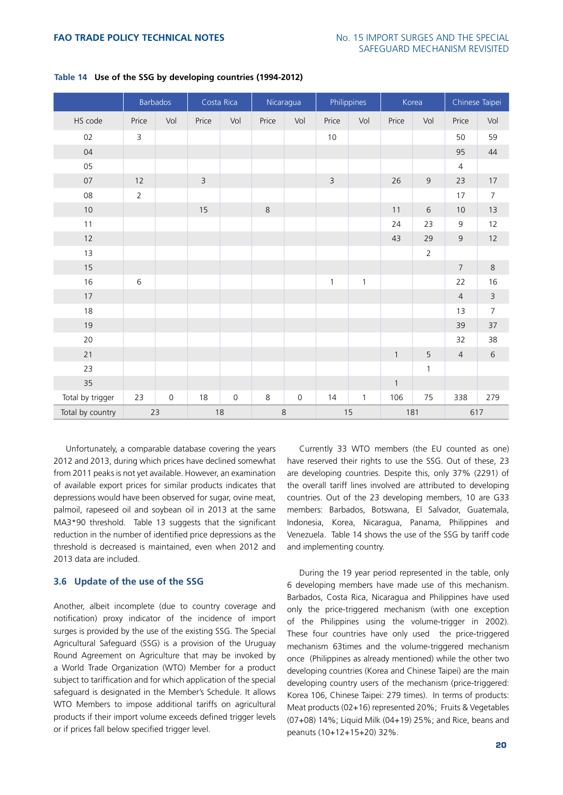|                  |                | <b>Barbados</b> |                | Costa Rica          | Nicaragua |                     | Philippines    |              | Korea        |                | Chinese Taipei |                         |
|------------------|----------------|-----------------|----------------|---------------------|-----------|---------------------|----------------|--------------|--------------|----------------|----------------|-------------------------|
| HS code          | Price          | Vol             | Price          | Vol                 | Price     | Vol                 | Price          | Vol          | Price        | Vol            | Price          | Vol                     |
| 02               | 3              |                 |                |                     |           |                     | $10\,$         |              |              |                | 50             | 59                      |
| 04               |                |                 |                |                     |           |                     |                |              |              |                | 95             | 44                      |
| 05               |                |                 |                |                     |           |                     |                |              |              |                | 4              |                         |
| 07               | 12             |                 | $\overline{3}$ |                     |           |                     | $\overline{3}$ |              | 26           | $\mathsf 9$    | 23             | $17\,$                  |
| $08\,$           | $\overline{2}$ |                 |                |                     |           |                     |                |              |              |                | 17             | $\boldsymbol{7}$        |
| $10$             |                |                 | 15             |                     | $\,8\,$   |                     |                |              | 11           | $\sqrt{6}$     | 10             | 13                      |
| 11               |                |                 |                |                     |           |                     |                |              | 24           | 23             | $\mathsf 9$    | 12                      |
| $12$             |                |                 |                |                     |           |                     |                |              | 43           | 29             | $\mathsf 9$    | $12$                    |
| 13               |                |                 |                |                     |           |                     |                |              |              | $\overline{2}$ |                |                         |
| $15\,$           |                |                 |                |                     |           |                     |                |              |              |                | $\sqrt{ }$     | $\,8\,$                 |
| 16               | $\,$ 6 $\,$    |                 |                |                     |           |                     | $\mathbf{1}$   | $\mathbf{1}$ |              |                | 22             | 16                      |
| $17$             |                |                 |                |                     |           |                     |                |              |              |                | $\overline{4}$ | $\overline{\mathbf{3}}$ |
| 18               |                |                 |                |                     |           |                     |                |              |              |                | 13             | $\overline{7}$          |
| 19               |                |                 |                |                     |           |                     |                |              |              |                | 39             | 37                      |
| 20               |                |                 |                |                     |           |                     |                |              |              |                | 32             | 38                      |
| 21               |                |                 |                |                     |           |                     |                |              | $\mathbf{1}$ | 5              | $\overline{4}$ | $\,$ 6 $\,$             |
| 23               |                |                 |                |                     |           |                     |                |              |              | $\mathbf{1}$   |                |                         |
| 35               |                |                 |                |                     |           |                     |                |              | $\mathbf 1$  |                |                |                         |
| Total by trigger | 23             | $\mathbf 0$     | 18             | $\mathsf{O}\xspace$ | 8         | $\mathsf{O}\xspace$ | 14             | $\mathbf{1}$ | 106          | 75             | 338            | 279                     |
| Total by country |                | 23              |                | 18                  |           | $\,8\,$             |                | 15           | 181          |                | 617            |                         |

# **Table 14 Use of the SSG by developing countries (1994-2012)**

Unfortunately, a comparable database covering the years 2012 and 2013, during which prices have declined somewhat from 2011 peaks is not yet available. However, an examination of available export prices for similar products indicates that depressions would have been observed for sugar, ovine meat, palmoil, rapeseed oil and soybean oil in 2013 at the same MA3\*90 threshold. Table 13 suggests that the significant reduction in the number of identified price depressions as the threshold is decreased is maintained, even when 2012 and 2013 data are included.

#### **3.6 Update of the use of the SSG**

Another, albeit incomplete (due to country coverage and notification) proxy indicator of the incidence of import surges is provided by the use of the existing SSG. The Special Agricultural Safeguard (SSG) is a provision of the Uruguay Round Agreement on Agriculture that may be invoked by a World Trade Organization (WTO) Member for a product subject to tariffication and for which application of the special safeguard is designated in the Member's Schedule. It allows WTO Members to impose additional tariffs on agricultural products if their import volume exceeds defined trigger levels or if prices fall below specified trigger level.

Currently 33 WTO members (the EU counted as one) have reserved their rights to use the SSG. Out of these, 23 are developing countries. Despite this, only 37% (2291) of the overall tariff lines involved are attributed to developing countries. Out of the 23 developing members, 10 are G33 members: Barbados, Botswana, El Salvador, Guatemala, Indonesia, Korea, Nicaragua, Panama, Philippines and Venezuela. Table 14 shows the use of the SSG by tariff code and implementing country.

During the 19 year period represented in the table, only 6 developing members have made use of this mechanism. Barbados, Costa Rica, Nicaragua and Philippines have used only the price-triggered mechanism (with one exception of the Philippines using the volume-trigger in 2002). These four countries have only used the price-triggered mechanism 63times and the volume-triggered mechanism once (Philippines as already mentioned) while the other two developing countries (Korea and Chinese Taipei) are the main developing country users of the mechanism (price-triggered: Korea 106, Chinese Taipei: 279 times). In terms of products: Meat products (02+16) represented 20%; Fruits & Vegetables (07+08) 14%; Liquid Milk (04+19) 25%; and Rice, beans and peanuts (10+12+15+20) 32%.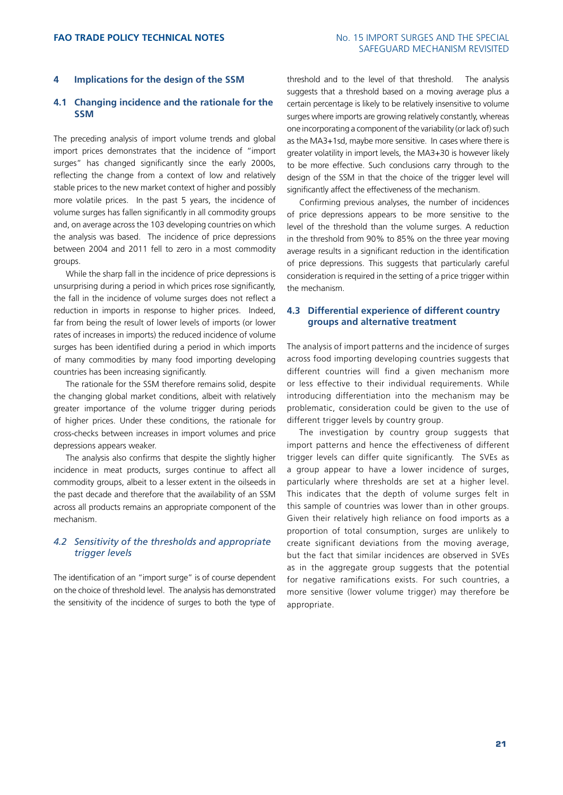# **4 Implications for the design of the SSM**

# **4.1 Changing incidence and the rationale for the SSM**

The preceding analysis of import volume trends and global import prices demonstrates that the incidence of "import surges" has changed significantly since the early 2000s, reflecting the change from a context of low and relatively stable prices to the new market context of higher and possibly more volatile prices. In the past 5 years, the incidence of volume surges has fallen significantly in all commodity groups and, on average across the 103 developing countries on which the analysis was based. The incidence of price depressions between 2004 and 2011 fell to zero in a most commodity groups.

While the sharp fall in the incidence of price depressions is unsurprising during a period in which prices rose significantly, the fall in the incidence of volume surges does not reflect a reduction in imports in response to higher prices. Indeed, far from being the result of lower levels of imports (or lower rates of increases in imports) the reduced incidence of volume surges has been identified during a period in which imports of many commodities by many food importing developing countries has been increasing significantly.

The rationale for the SSM therefore remains solid, despite the changing global market conditions, albeit with relatively greater importance of the volume trigger during periods of higher prices. Under these conditions, the rationale for cross-checks between increases in import volumes and price depressions appears weaker.

The analysis also confirms that despite the slightly higher incidence in meat products, surges continue to affect all commodity groups, albeit to a lesser extent in the oilseeds in the past decade and therefore that the availability of an SSM across all products remains an appropriate component of the mechanism.

# *4.2 Sensitivity of the thresholds and appropriate trigger levels*

The identification of an "import surge" is of course dependent on the choice of threshold level. The analysis has demonstrated the sensitivity of the incidence of surges to both the type of

threshold and to the level of that threshold. The analysis suggests that a threshold based on a moving average plus a certain percentage is likely to be relatively insensitive to volume surges where imports are growing relatively constantly, whereas one incorporating a component of the variability (or lack of) such as the MA3+1sd, maybe more sensitive. In cases where there is greater volatility in import levels, the MA3+30 is however likely to be more effective. Such conclusions carry through to the design of the SSM in that the choice of the trigger level will significantly affect the effectiveness of the mechanism.

Confirming previous analyses, the number of incidences of price depressions appears to be more sensitive to the level of the threshold than the volume surges. A reduction in the threshold from 90% to 85% on the three year moving average results in a significant reduction in the identification of price depressions. This suggests that particularly careful consideration is required in the setting of a price trigger within the mechanism.

# **4.3 Differential experience of different country groups and alternative treatment**

The analysis of import patterns and the incidence of surges across food importing developing countries suggests that different countries will find a given mechanism more or less effective to their individual requirements. While introducing differentiation into the mechanism may be problematic, consideration could be given to the use of different trigger levels by country group.

The investigation by country group suggests that import patterns and hence the effectiveness of different trigger levels can differ quite significantly. The SVEs as a group appear to have a lower incidence of surges, particularly where thresholds are set at a higher level. This indicates that the depth of volume surges felt in this sample of countries was lower than in other groups. Given their relatively high reliance on food imports as a proportion of total consumption, surges are unlikely to create significant deviations from the moving average, but the fact that similar incidences are observed in SVEs as in the aggregate group suggests that the potential for negative ramifications exists. For such countries, a more sensitive (lower volume trigger) may therefore be appropriate.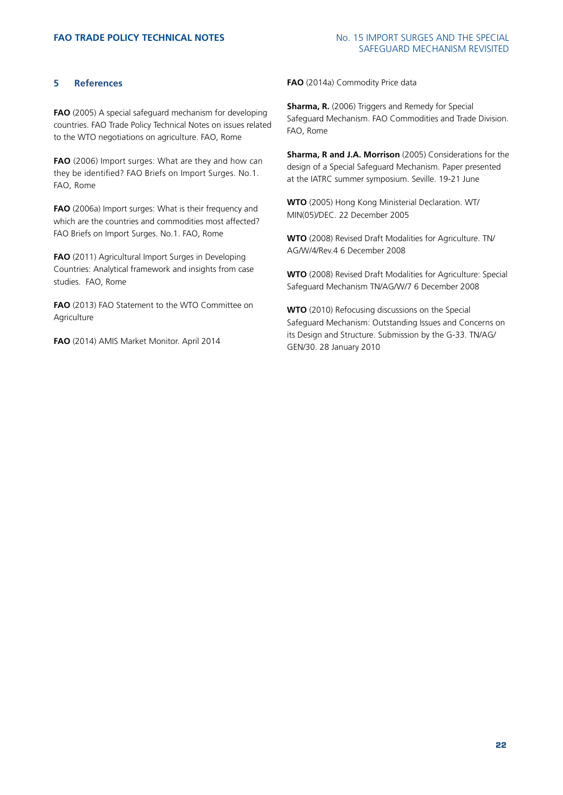# **5 References**

**FAO** (2005) A special safeguard mechanism for developing countries. FAO Trade Policy Technical Notes on issues related to the WTO negotiations on agriculture. FAO, Rome

**FAO** (2006) Import surges: What are they and how can they be identified? FAO Briefs on Import Surges. No.1. FAO, Rome

**FAO** (2006a) Import surges: What is their frequency and which are the countries and commodities most affected? FAO Briefs on Import Surges. No.1. FAO, Rome

**FAO** (2011) Agricultural Import Surges in Developing Countries: Analytical framework and insights from case studies. FAO, Rome

**FAO** (2013) FAO Statement to the WTO Committee on Agriculture

**FAO** (2014) AMIS Market Monitor. April 2014

**FAO** (2014a) Commodity Price data

**Sharma, R.** (2006) Triggers and Remedy for Special Safeguard Mechanism. FAO Commodities and Trade Division. FAO, Rome

**Sharma, R and J.A. Morrison** (2005) Considerations for the design of a Special Safeguard Mechanism. Paper presented at the IATRC summer symposium. Seville. 19-21 June

**WTO** (2005) Hong Kong Ministerial Declaration. WT/ MIN(05)/DEC. 22 December 2005

**WTO** (2008) Revised Draft Modalities for Agriculture. TN/ AG/W/4/Rev.4 6 December 2008

**WTO** (2008) Revised Draft Modalities for Agriculture: Special Safeguard Mechanism TN/AG/W/7 6 December 2008

**WTO** (2010) Refocusing discussions on the Special Safeguard Mechanism: Outstanding Issues and Concerns on its Design and Structure. Submission by the G-33. TN/AG/ GEN/30. 28 January 2010